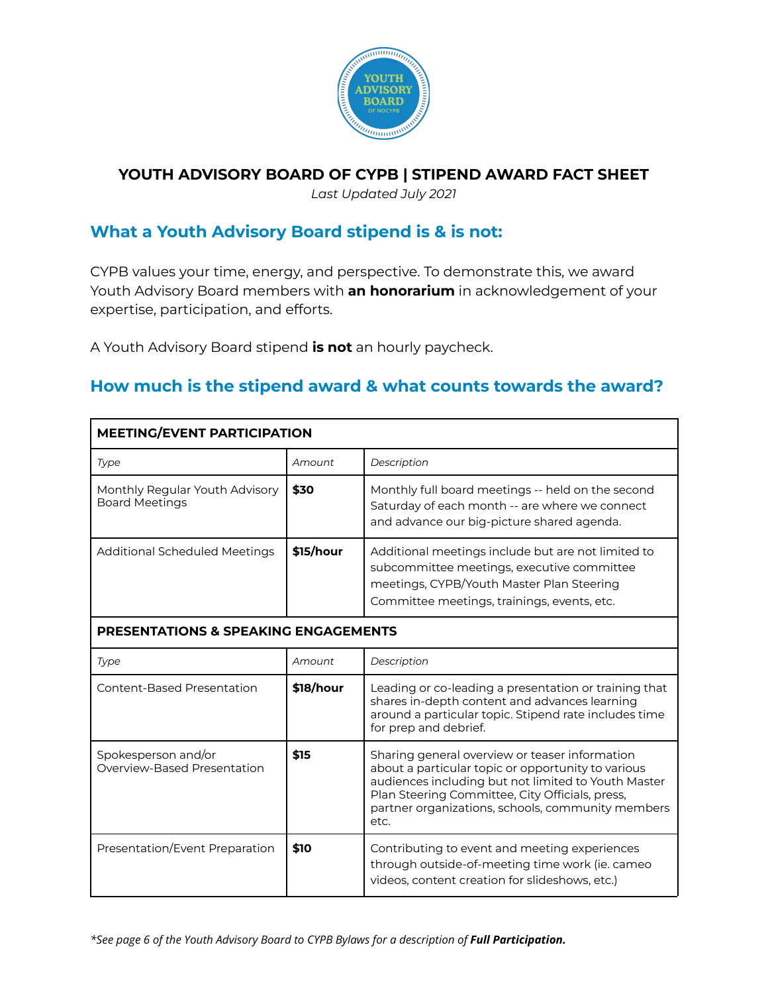

#### **YOUTH ADVISORY BOARD OF CYPB | STIPEND AWARD FACT SHEET**

*Last Updated July 2021*

## **What a Youth Advisory Board stipend is & is not:**

CYPB values your time, energy, and perspective. To demonstrate this, we award Youth Advisory Board members with **an honorarium** in acknowledgement of your expertise, participation, and efforts.

A Youth Advisory Board stipend **is not** an hourly paycheck.

#### **How much is the stipend award & what counts towards the award?**

| <b>MEETING/EVENT PARTICIPATION</b>                      |           |                                                                                                                                                                                                                                                                             |  |
|---------------------------------------------------------|-----------|-----------------------------------------------------------------------------------------------------------------------------------------------------------------------------------------------------------------------------------------------------------------------------|--|
| Type                                                    | Amount    | Description                                                                                                                                                                                                                                                                 |  |
| Monthly Regular Youth Advisory<br><b>Board Meetings</b> | \$30      | Monthly full board meetings -- held on the second<br>Saturday of each month -- are where we connect<br>and advance our big-picture shared agenda.                                                                                                                           |  |
| <b>Additional Scheduled Meetings</b>                    | \$15/hour | Additional meetings include but are not limited to<br>subcommittee meetings, executive committee<br>meetings, CYPB/Youth Master Plan Steering<br>Committee meetings, trainings, events, etc.                                                                                |  |
| <b>PRESENTATIONS &amp; SPEAKING ENGAGEMENTS</b>         |           |                                                                                                                                                                                                                                                                             |  |
| Type                                                    | Amount    | Description                                                                                                                                                                                                                                                                 |  |
| Content-Based Presentation                              | \$18/hour | Leading or co-leading a presentation or training that<br>shares in-depth content and advances learning<br>around a particular topic. Stipend rate includes time<br>for prep and debrief.                                                                                    |  |
| Spokesperson and/or<br>Overview-Based Presentation      | \$15      | Sharing general overview or teaser information<br>about a particular topic or opportunity to various<br>audiences including but not limited to Youth Master<br>Plan Steering Committee, City Officials, press,<br>partner organizations, schools, community members<br>etc. |  |
| Presentation/Event Preparation                          | \$10      | Contributing to event and meeting experiences<br>through outside-of-meeting time work (ie. cameo<br>videos, content creation for slideshows, etc.)                                                                                                                          |  |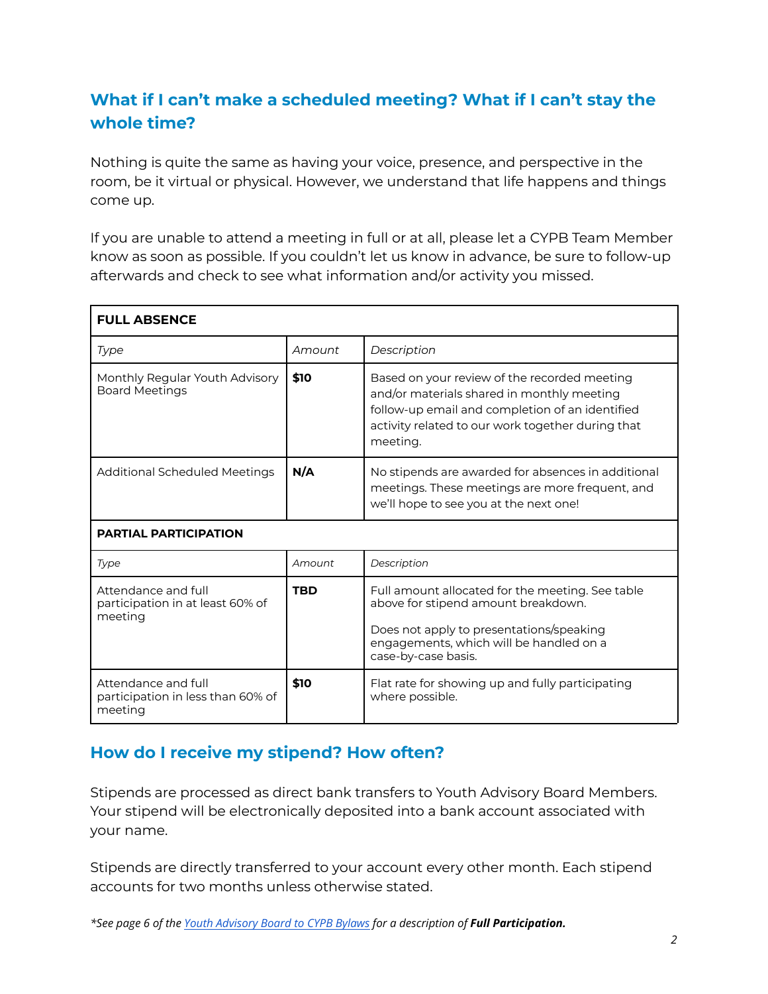# **What if I can't make a scheduled meeting? What if I can't stay the whole time?**

Nothing is quite the same as having your voice, presence, and perspective in the room, be it virtual or physical. However, we understand that life happens and things come up.

If you are unable to attend a meeting in full or at all, please let a CYPB Team Member know as soon as possible. If you couldn't let us know in advance, be sure to follow-up afterwards and check to see what information and/or activity you missed.

| <b>FULL ABSENCE</b>                                                 |            |                                                                                                                                                                                                                |
|---------------------------------------------------------------------|------------|----------------------------------------------------------------------------------------------------------------------------------------------------------------------------------------------------------------|
| Type                                                                | Amount     | Description                                                                                                                                                                                                    |
| Monthly Regular Youth Advisory<br><b>Board Meetings</b>             | \$10       | Based on your review of the recorded meeting<br>and/or materials shared in monthly meeting<br>follow-up email and completion of an identified<br>activity related to our work together during that<br>meeting. |
| <b>Additional Scheduled Meetings</b>                                | N/A        | No stipends are awarded for absences in additional<br>meetings. These meetings are more frequent, and<br>we'll hope to see you at the next one!                                                                |
| <b>PARTIAL PARTICIPATION</b>                                        |            |                                                                                                                                                                                                                |
| Type                                                                | Amount     | Description                                                                                                                                                                                                    |
| Attendance and full<br>participation in at least 60% of<br>meeting  | <b>TBD</b> | Full amount allocated for the meeting. See table<br>above for stipend amount breakdown.<br>Does not apply to presentations/speaking<br>engagements, which will be handled on a<br>case-by-case basis.          |
| Attendance and full<br>participation in less than 60% of<br>meeting | \$10       | Flat rate for showing up and fully participating<br>where possible.                                                                                                                                            |

#### **How do I receive my stipend? How often?**

Stipends are processed as direct bank transfers to Youth Advisory Board Members. Your stipend will be electronically deposited into a bank account associated with your name.

Stipends are directly transferred to your account every other month. Each stipend accounts for two months unless otherwise stated.

*\*See page 6 of the [Youth Advisory Board to CYPB Bylaws](https://docs.google.com/document/d/1ePm2pm52hg9uPDvji7Pc1-MO6I9UADotUhRr2w59MGE/edit?usp=sharing) for a description of Full Participation.*